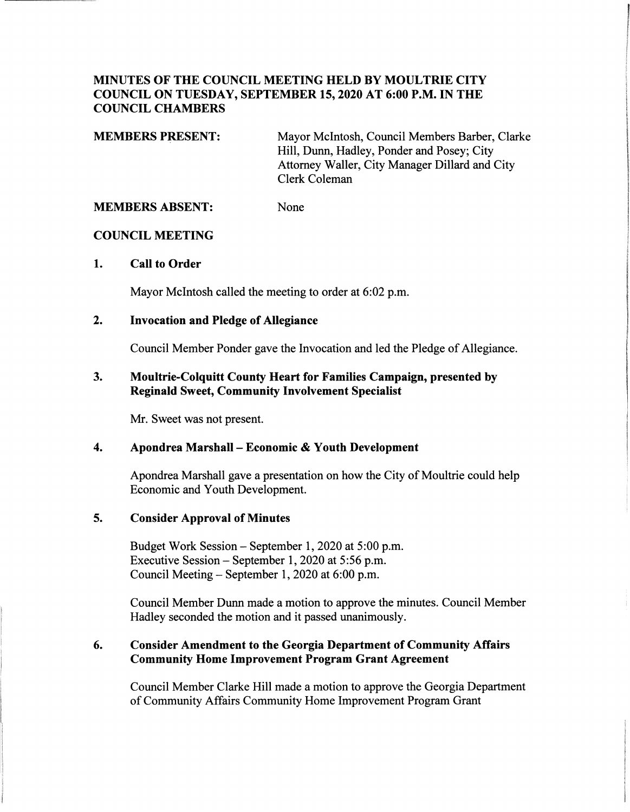## **MINUTES OF THE COUNCIL MEETING HELD BY MOULTRIE CITY COUNCIL ON TUESDAY, SEPTEMBER 15, 2020 AT 6:00 P.M. IN THE COUNCIL CHAMBERS**

**MEMBERS PRESENT:**  Mayor McIntosh, Council Members Barber, Clarke Hill, Dunn, Hadley, Ponder and Posey; City Attorney Waller, City Manager Dillard and City Clerk Coleman

**MEMBERS ABSENT:**  None

### **COUNCIL MEETING**

### **1. Call to Order**

Mayor McIntosh called the meeting to order at 6:02 p.m.

### **2. Invocation and Pledge of Allegiance**

Council Member Ponder gave the Invocation and led the Pledge of Allegiance.

### **3. Moultrie-Colquitt County Heart for Families Campaign, presented by Reginald Sweet, Community Involvement Specialist**

Mr. Sweet was not present.

### **4. Apondrea Marshall** - **Economic** & **Youth Development**

Apondrea Marshall gave a presentation on how the City of Moultrie could help Economic and Youth Development.

### **5. Consider Approval of Minutes**

Budget Work Session- September 1, 2020 at 5:00 p.m. Executive Session- September 1, 2020 at 5:56 p.m. Council Meeting - September 1, 2020 at 6:00 p.m.

Council Member Dunn made a motion to approve the minutes. Council Member Hadley seconded the motion and it passed unanimously.

### **6. Consider Amendment to the Georgia Department of Community Affairs Community Home Improvement Program Grant Agreement**

Council Member Clarke Hill made a motion to approve the Georgia Department of Community Affairs Community Home Improvement Program Grant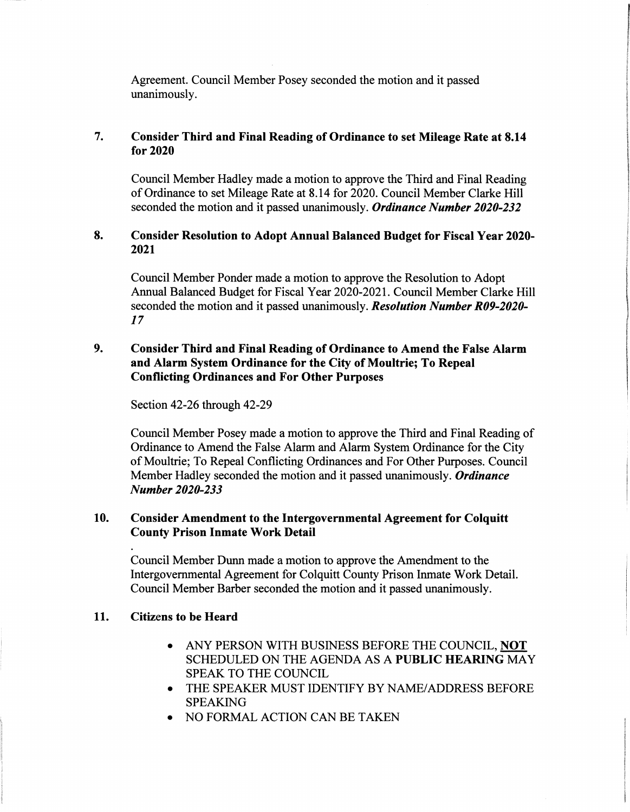Agreement. Council Member Posey seconded the motion and it passed unanimously.

# **7. Consider Third and Final Reading of Ordinance to set Mileage Rate at 8.14 for2020**

Council Member Hadley made a motion to approve the Third and Final Reading of Ordinance to set Mileage Rate at 8.14 for 2020. Council Member Clarke Hill seconded the motion and it passed unanimously. *Ordinance Number 2020-232* 

## **8. Consider Resolution to Adopt Annual Balanced Budget for Fiscal Year 2020- 2021**

Council Member Ponder made a motion to approve the Resolution to Adopt Annual Balanced Budget for Fiscal Year 2020-2021. Council Member Clarke Hill seconded the motion and it passed unanimously. *Resolution Number R09-2020 l 7* 

## **9. Consider Third and Final Reading of Ordinance to Amend the False Alarm and Alarm System Ordinance for the City of Moultrie; To Repeal Conflicting Ordinances and For Other Purposes**

Section 42-26 through 42-29

Council Member Posey made a motion to approve the Third and Final Reading of Ordinance to Amend the False Alarm and Alarm System Ordinance for the City of Moultrie; To Repeal Conflicting Ordinances and For Other Purposes. Council Member Hadley seconded the motion and it passed unanimously. *Ordinance Number 2020-233* 

### **10. Consider Amendment to the Intergovernmental Agreement for Colquitt County Prison Inmate Work Detail**

Council Member Dunn made a motion to approve the Amendment to the Intergovernmental Agreement for Colquitt County Prison Inmate Work Detail. Council Member Barber seconded the motion and it passed unanimously.

# **11. Citizens to be Heard**

- ANY PERSON WITH BUSINESS BEFORE THE COUNCIL, **NOT**  SCHEDULED ON THE AGENDA AS A **PUBLIC HEARING** MAY SPEAK TO THE COUNCIL
- THE SPEAKER MUST IDENTIFY BY NAME/ADDRESS BEFORE SPEAKING
- NO FORMAL ACTION CAN BE TAKEN